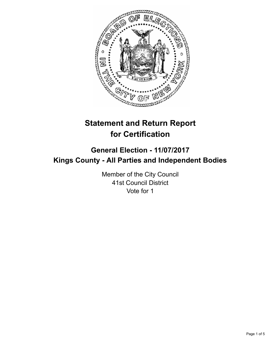

# **Statement and Return Report for Certification**

## **General Election - 11/07/2017 Kings County - All Parties and Independent Bodies**

Member of the City Council 41st Council District Vote for 1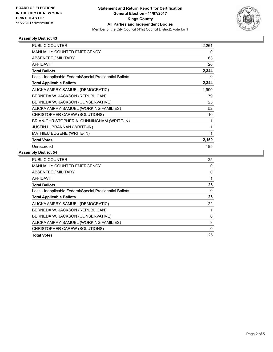

### **Assembly District 43**

| <b>PUBLIC COUNTER</b>                                    | 2,261 |
|----------------------------------------------------------|-------|
| <b>MANUALLY COUNTED EMERGENCY</b>                        | 0     |
| <b>ABSENTEE / MILITARY</b>                               | 63    |
| <b>AFFIDAVIT</b>                                         | 20    |
| <b>Total Ballots</b>                                     | 2,344 |
| Less - Inapplicable Federal/Special Presidential Ballots | 0     |
| <b>Total Applicable Ballots</b>                          | 2,344 |
| ALICKA AMPRY-SAMUEL (DEMOCRATIC)                         | 1,990 |
| BERNEDA W. JACKSON (REPUBLICAN)                          | 79    |
| BERNEDA W. JACKSON (CONSERVATIVE)                        | 25    |
| ALICKA AMPRY-SAMUEL (WORKING FAMILIES)                   | 52    |
| CHRISTOPHER CAREW (SOLUTIONS)                            | 10    |
| BRIAN-CHRISTOPHER A. CUNNINGHAM (WRITE-IN)               | 1     |
| <b>JUSTIN L. BRANNAN (WRITE-IN)</b>                      | 1     |
| <b>MATHIEU EUGENE (WRITE-IN)</b>                         | 1     |
| <b>Total Votes</b>                                       | 2,159 |
| Unrecorded                                               | 185   |

### **Assembly District 54**

| <b>Total Votes</b>                                       | 26 |
|----------------------------------------------------------|----|
| CHRISTOPHER CAREW (SOLUTIONS)                            | 0  |
| ALICKA AMPRY-SAMUEL (WORKING FAMILIES)                   | 3  |
| BERNEDA W. JACKSON (CONSERVATIVE)                        | 0  |
| BERNEDA W. JACKSON (REPUBLICAN)                          |    |
| ALICKA AMPRY-SAMUEL (DEMOCRATIC)                         | 22 |
| <b>Total Applicable Ballots</b>                          | 26 |
| Less - Inapplicable Federal/Special Presidential Ballots | 0  |
| <b>Total Ballots</b>                                     | 26 |
| AFFIDAVIT                                                |    |
| ABSENTEE / MILITARY                                      | 0  |
| <b>MANUALLY COUNTED EMERGENCY</b>                        | 0  |
| <b>PUBLIC COUNTER</b>                                    | 25 |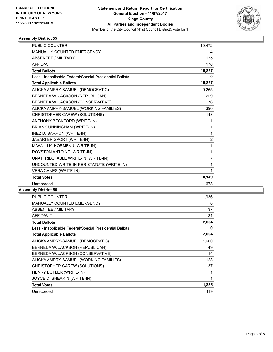

### **Assembly District 55**

| <b>PUBLIC COUNTER</b>                                    | 10,472         |
|----------------------------------------------------------|----------------|
| <b>MANUALLY COUNTED EMERGENCY</b>                        | 4              |
| <b>ABSENTEE / MILITARY</b>                               | 175            |
| <b>AFFIDAVIT</b>                                         | 176            |
| <b>Total Ballots</b>                                     | 10,827         |
| Less - Inapplicable Federal/Special Presidential Ballots | 0              |
| <b>Total Applicable Ballots</b>                          | 10,827         |
| ALICKA AMPRY-SAMUEL (DEMOCRATIC)                         | 9,265          |
| BERNEDA W. JACKSON (REPUBLICAN)                          | 259            |
| BERNEDA W. JACKSON (CONSERVATIVE)                        | 76             |
| ALICKA AMPRY-SAMUEL (WORKING FAMILIES)                   | 390            |
| CHRISTOPHER CAREW (SOLUTIONS)                            | 143            |
| ANTHONY BECKFORD (WRITE-IN)                              | 1              |
| BRIAN CUNNINGHAM (WRITE-IN)                              | 1              |
| INEZ D. BARRON (WRITE-IN)                                | 1              |
| JABARI BRISPORT (WRITE-IN)                               | $\overline{2}$ |
| MAWULI K. HORMEKU (WRITE-IN)                             | 1              |
| ROYSTON ANTOINE (WRITE-IN)                               | 1              |
| UNATTRIBUTABLE WRITE-IN (WRITE-IN)                       | $\overline{7}$ |
| UNCOUNTED WRITE-IN PER STATUTE (WRITE-IN)                | 1              |
| <b>VERA CANES (WRITE-IN)</b>                             | 1              |
| <b>Total Votes</b>                                       | 10,149         |
| Unrecorded                                               | 678            |

### **Assembly District 56**

| <b>PUBLIC COUNTER</b>                                    | 1,936 |
|----------------------------------------------------------|-------|
| MANUALLY COUNTED EMERGENCY                               | 0     |
| ABSENTEE / MILITARY                                      | 37    |
| <b>AFFIDAVIT</b>                                         | 31    |
| <b>Total Ballots</b>                                     | 2,004 |
| Less - Inapplicable Federal/Special Presidential Ballots | 0     |
| <b>Total Applicable Ballots</b>                          | 2,004 |
| ALICKA AMPRY-SAMUEL (DEMOCRATIC)                         | 1,660 |
| BERNEDA W. JACKSON (REPUBLICAN)                          | 49    |
| BERNEDA W. JACKSON (CONSERVATIVE)                        | 14    |
| ALICKA AMPRY-SAMUEL (WORKING FAMILIES)                   | 123   |
| CHRISTOPHER CAREW (SOLUTIONS)                            | 37    |
| HENRY BUTLER (WRITE-IN)                                  | 1     |
| JOYCE D. SHEARIN (WRITE-IN)                              | 1     |
| <b>Total Votes</b>                                       | 1,885 |
| Unrecorded                                               | 119   |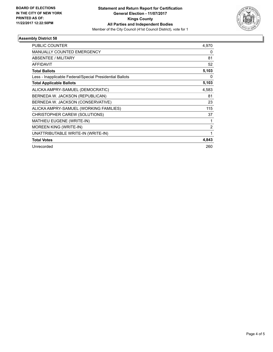

### **Assembly District 58**

| <b>PUBLIC COUNTER</b>                                    | 4,970 |
|----------------------------------------------------------|-------|
| <b>MANUALLY COUNTED EMERGENCY</b>                        | 0     |
| ABSENTEE / MILITARY                                      | 81    |
| <b>AFFIDAVIT</b>                                         | 52    |
| <b>Total Ballots</b>                                     | 5,103 |
| Less - Inapplicable Federal/Special Presidential Ballots | 0     |
| <b>Total Applicable Ballots</b>                          | 5,103 |
| ALICKA AMPRY-SAMUEL (DEMOCRATIC)                         | 4,583 |
| BERNEDA W. JACKSON (REPUBLICAN)                          | 81    |
| BERNEDA W. JACKSON (CONSERVATIVE)                        | 23    |
| ALICKA AMPRY-SAMUEL (WORKING FAMILIES)                   | 115   |
| CHRISTOPHER CAREW (SOLUTIONS)                            | 37    |
| <b>MATHIEU EUGENE (WRITE-IN)</b>                         | 1     |
| MOREEN KING (WRITE-IN)                                   | 2     |
| UNATTRIBUTABLE WRITE-IN (WRITE-IN)                       | 1     |
| <b>Total Votes</b>                                       | 4,843 |
| Unrecorded                                               | 260   |